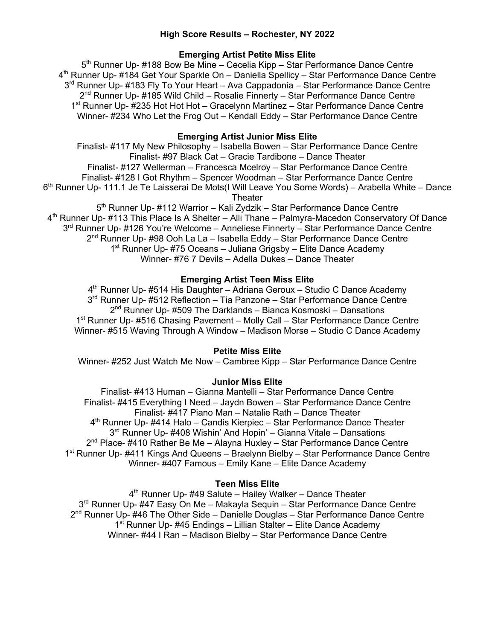## **High Score Results – Rochester, NY 2022**

## **Emerging Artist Petite Miss Elite**

5<sup>th</sup> Runner Up- #188 Bow Be Mine – Cecelia Kipp – Star Performance Dance Centre 4th Runner Up- #184 Get Your Sparkle On – Daniella Spellicy – Star Performance Dance Centre 3<sup>rd</sup> Runner Up- #183 Fly To Your Heart – Ava Cappadonia – Star Performance Dance Centre  $2<sup>nd</sup>$  Runner Up- #185 Wild Child – Rosalie Finnerty – Star Performance Dance Centre 1<sup>st</sup> Runner Up- #235 Hot Hot Hot – Gracelynn Martinez – Star Performance Dance Centre Winner- #234 Who Let the Frog Out – Kendall Eddy – Star Performance Dance Centre

### **Emerging Artist Junior Miss Elite**

Finalist- #117 My New Philosophy – Isabella Bowen – Star Performance Dance Centre Finalist- #97 Black Cat – Gracie Tardibone – Dance Theater Finalist- #127 Wellerman – Francesca Mcelroy – Star Performance Dance Centre Finalist- #128 I Got Rhythm – Spencer Woodman – Star Performance Dance Centre 6<sup>th</sup> Runner Up- 111.1 Je Te Laisserai De Mots(I Will Leave You Some Words) – Arabella White – Dance Theater 5<sup>th</sup> Runner Up- #112 Warrior – Kali Zydzik – Star Performance Dance Centre 4<sup>th</sup> Runner Up- #113 This Place Is A Shelter – Alli Thane – Palmyra-Macedon Conservatory Of Dance 3rd Runner Up- #126 You're Welcome – Anneliese Finnerty – Star Performance Dance Centre 2<sup>nd</sup> Runner Up- #98 Ooh La La – Isabella Eddy – Star Performance Dance Centre 1<sup>st</sup> Runner Up- #75 Oceans – Juliana Grigsby – Elite Dance Academy Winner- #76 7 Devils – Adella Dukes – Dance Theater

### **Emerging Artist Teen Miss Elite**

4<sup>th</sup> Runner Up- #514 His Daughter – Adriana Geroux – Studio C Dance Academy 3<sup>rd</sup> Runner Up- #512 Reflection – Tia Panzone – Star Performance Dance Centre  $2<sup>nd</sup>$  Runner Up- #509 The Darklands – Bianca Kosmoski – Dansations 1<sup>st</sup> Runner Up- #516 Chasing Pavement – Molly Call – Star Performance Dance Centre Winner- #515 Waving Through A Window – Madison Morse – Studio C Dance Academy

### **Petite Miss Elite**

Winner- #252 Just Watch Me Now – Cambree Kipp – Star Performance Dance Centre

### **Junior Miss Elite**

Finalist- #413 Human – Gianna Mantelli – Star Performance Dance Centre Finalist- #415 Everything I Need – Jaydn Bowen – Star Performance Dance Centre Finalist- #417 Piano Man – Natalie Rath – Dance Theater 4<sup>th</sup> Runner Up- #414 Halo – Candis Kierpiec – Star Performance Dance Theater 3<sup>rd</sup> Runner Up- #408 Wishin' And Hopin' – Gianna Vitale – Dansations  $2^{nd}$  Place- #410 Rather Be Me – Alayna Huxley – Star Performance Dance Centre 1<sup>st</sup> Runner Up- #411 Kings And Queens – Braelynn Bielby – Star Performance Dance Centre Winner- #407 Famous – Emily Kane – Elite Dance Academy

#### **Teen Miss Elite**

4<sup>th</sup> Runner Up- #49 Salute – Hailey Walker – Dance Theater 3<sup>rd</sup> Runner Up- #47 Easy On Me – Makayla Sequin – Star Performance Dance Centre  $2<sup>nd</sup>$  Runner Up- #46 The Other Side – Danielle Douglas – Star Performance Dance Centre  $1<sup>st</sup>$  Runner Up- #45 Endings – Lillian Stalter – Elite Dance Academy Winner- #44 I Ran – Madison Bielby – Star Performance Dance Centre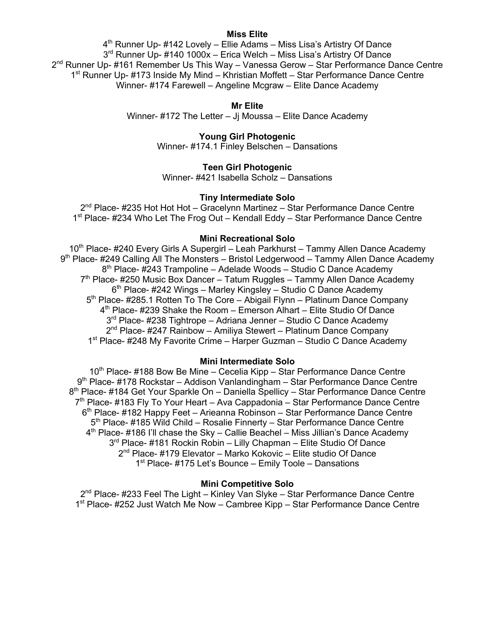### **Miss Elite**

4<sup>th</sup> Runner Up- #142 Lovely – Ellie Adams – Miss Lisa's Artistry Of Dance 3<sup>rd</sup> Runner Up- #140 1000x – Erica Welch – Miss Lisa's Artistry Of Dance  $2^{nd}$  Runner Up- #161 Remember Us This Way – Vanessa Gerow – Star Performance Dance Centre 1<sup>st</sup> Runner Up- #173 Inside My Mind – Khristian Moffett – Star Performance Dance Centre Winner- #174 Farewell – Angeline Mcgraw – Elite Dance Academy

### **Mr Elite**

Winner- #172 The Letter – Jj Moussa – Elite Dance Academy

## **Young Girl Photogenic**

Winner- #174.1 Finley Belschen – Dansations

## **Teen Girl Photogenic**

Winner- #421 Isabella Scholz – Dansations

## **Tiny Intermediate Solo**

2<sup>nd</sup> Place- #235 Hot Hot Hot – Gracelynn Martinez – Star Performance Dance Centre 1<sup>st</sup> Place- #234 Who Let The Frog Out – Kendall Eddy – Star Performance Dance Centre

#### **Mini Recreational Solo**

10<sup>th</sup> Place- #240 Every Girls A Supergirl – Leah Parkhurst – Tammy Allen Dance Academy 9<sup>th</sup> Place- #249 Calling All The Monsters – Bristol Ledgerwood – Tammy Allen Dance Academy  $8<sup>th</sup>$  Place- #243 Trampoline – Adelade Woods – Studio C Dance Academy  $7<sup>th</sup>$  Place- #250 Music Box Dancer – Tatum Ruggles – Tammy Allen Dance Academy 6<sup>th</sup> Place- #242 Wings – Marley Kingsley – Studio C Dance Academy  $5<sup>th</sup>$  Place- #285.1 Rotten To The Core – Abigail Flynn – Platinum Dance Company  $4<sup>th</sup>$  Place- #239 Shake the Room – Emerson Alhart – Elite Studio Of Dance 3<sup>rd</sup> Place- #238 Tightrope – Adriana Jenner – Studio C Dance Academy  $2<sup>nd</sup> Place- #247$  Rainbow – Amiliya Stewert – Platinum Dance Company 1<sup>st</sup> Place- #248 My Favorite Crime – Harper Guzman – Studio C Dance Academy

### **Mini Intermediate Solo**

10<sup>th</sup> Place- #188 Bow Be Mine – Cecelia Kipp – Star Performance Dance Centre 9th Place- #178 Rockstar – Addison Vanlandingham – Star Performance Dance Centre 8<sup>th</sup> Place- #184 Get Your Sparkle On – Daniella Spellicy – Star Performance Dance Centre 7<sup>th</sup> Place- #183 Fly To Your Heart – Ava Cappadonia – Star Performance Dance Centre 6th Place- #182 Happy Feet – Arieanna Robinson – Star Performance Dance Centre 5<sup>th</sup> Place- #185 Wild Child – Rosalie Finnerty – Star Performance Dance Centre 4<sup>th</sup> Place- #186 I'll chase the Sky – Callie Beachel – Miss Jillian's Dance Academy 3<sup>rd</sup> Place- #181 Rockin Robin – Lilly Chapman – Elite Studio Of Dance 2<sup>nd</sup> Place- #179 Elevator – Marko Kokovic – Elite studio Of Dance 1<sup>st</sup> Place- #175 Let's Bounce – Emily Toole – Dansations

### **Mini Competitive Solo**

2<sup>nd</sup> Place- #233 Feel The Light – Kinley Van Slyke – Star Performance Dance Centre 1st Place- #252 Just Watch Me Now – Cambree Kipp – Star Performance Dance Centre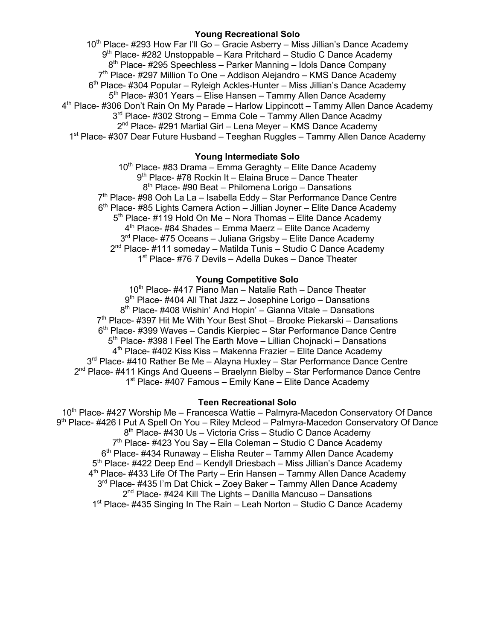## **Young Recreational Solo**

 $10<sup>th</sup>$  Place- #293 How Far I'll Go – Gracie Asberry – Miss Jillian's Dance Academy 9th Place- #282 Unstoppable – Kara Pritchard – Studio C Dance Academy  $8<sup>th</sup>$  Place- #295 Speechless – Parker Manning – Idols Dance Company  $7<sup>th</sup>$  Place- #297 Million To One – Addison Alejandro – KMS Dance Academy 6th Place- #304 Popular – Ryleigh Ackles-Hunter – Miss Jillian's Dance Academy 5<sup>th</sup> Place- #301 Years – Elise Hansen – Tammy Allen Dance Academy 4<sup>th</sup> Place- #306 Don't Rain On My Parade – Harlow Lippincott – Tammy Allen Dance Academy 3<sup>rd</sup> Place- #302 Strong – Emma Cole – Tammy Allen Dance Acadmy  $2<sup>nd</sup>$  Place- #291 Martial Girl – Lena Meyer – KMS Dance Academy 1st Place- #307 Dear Future Husband – Teeghan Ruggles – Tammy Allen Dance Academy

# **Young Intermediate Solo**

 $10<sup>th</sup>$  Place- #83 Drama – Emma Geraghty – Elite Dance Academy 9<sup>th</sup> Place- #78 Rockin It – Elaina Bruce – Dance Theater 8<sup>th</sup> Place- #90 Beat – Philomena Lorigo – Dansations 7<sup>th</sup> Place- #98 Ooh La La – Isabella Eddy – Star Performance Dance Centre  $6<sup>th</sup>$  Place- #85 Lights Camera Action – Jillian Joyner – Elite Dance Academy  $5<sup>th</sup>$  Place- #119 Hold On Me – Nora Thomas – Elite Dance Academy 4<sup>th</sup> Place- #84 Shades – Emma Maerz – Elite Dance Academy 3<sup>rd</sup> Place- #75 Oceans – Juliana Grigsby – Elite Dance Academy  $2<sup>nd</sup>$  Place- #111 someday – Matilda Tunis – Studio C Dance Academy 1<sup>st</sup> Place- #76 7 Devils – Adella Dukes – Dance Theater

## **Young Competitive Solo**

10<sup>th</sup> Place- #417 Piano Man – Natalie Rath – Dance Theater  $9<sup>th</sup>$  Place- #404 All That Jazz – Josephine Lorigo – Dansations  $8<sup>th</sup>$  Place- #408 Wishin' And Hopin' – Gianna Vitale – Dansations  $7<sup>th</sup>$  Place- #397 Hit Me With Your Best Shot – Brooke Piekarski – Dansations 6th Place- #399 Waves – Candis Kierpiec – Star Performance Dance Centre 5<sup>th</sup> Place- #398 I Feel The Earth Move – Lillian Chojnacki – Dansations  $4<sup>th</sup>$  Place- #402 Kiss Kiss – Makenna Frazier – Elite Dance Academy 3<sup>rd</sup> Place- #410 Rather Be Me – Alayna Huxley – Star Performance Dance Centre 2<sup>nd</sup> Place- #411 Kings And Queens - Braelynn Bielby - Star Performance Dance Centre 1<sup>st</sup> Place- #407 Famous – Emily Kane – Elite Dance Academy

## **Teen Recreational Solo**

10<sup>th</sup> Place- #427 Worship Me – Francesca Wattie – Palmyra-Macedon Conservatory Of Dance 9<sup>th</sup> Place- #426 I Put A Spell On You – Riley Mcleod – Palmyra-Macedon Conservatory Of Dance 8<sup>th</sup> Place- #430 Us – Victoria Criss – Studio C Dance Academy 7<sup>th</sup> Place- #423 You Say - Ella Coleman - Studio C Dance Academy 6th Place- #434 Runaway – Elisha Reuter – Tammy Allen Dance Academy 5<sup>th</sup> Place- #422 Deep End – Kendyll Driesbach – Miss Jillian's Dance Academy 4<sup>th</sup> Place- #433 Life Of The Party – Erin Hansen – Tammy Allen Dance Academy 3<sup>rd</sup> Place- #435 I'm Dat Chick – Zoey Baker – Tammy Allen Dance Academy  $2<sup>nd</sup>$  Place- #424 Kill The Lights – Danilla Mancuso – Dansations 1st Place- #435 Singing In The Rain – Leah Norton – Studio C Dance Academy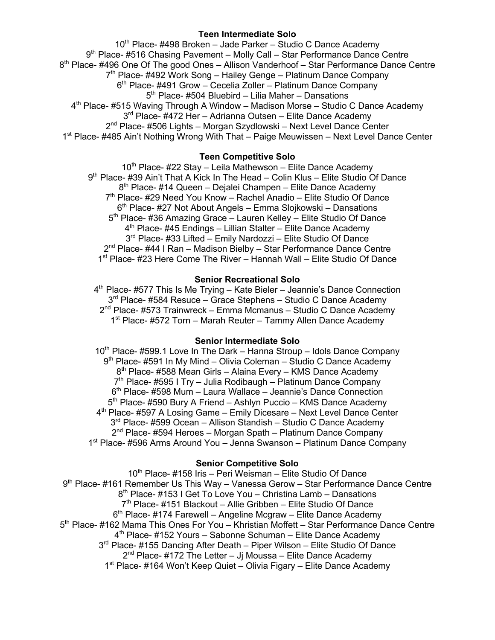## **Teen Intermediate Solo**

 $10<sup>th</sup>$  Place- #498 Broken – Jade Parker – Studio C Dance Academy 9th Place- #516 Chasing Pavement – Molly Call – Star Performance Dance Centre  $8<sup>th</sup>$  Place- #496 One Of The good Ones – Allison Vanderhoof – Star Performance Dance Centre  $7<sup>th</sup>$  Place- #492 Work Song – Hailey Genge – Platinum Dance Company 6th Place- #491 Grow – Cecelia Zoller – Platinum Dance Company  $5<sup>th</sup>$  Place- #504 Bluebird – Lilia Maher – Dansations  $4<sup>th</sup>$  Place- #515 Waving Through A Window – Madison Morse – Studio C Dance Academy 3<sup>rd</sup> Place- #472 Her – Adrianna Outsen – Elite Dance Academy 2<sup>nd</sup> Place- #506 Lights – Morgan Szydlowski – Next Level Dance Center 1<sup>st</sup> Place- #485 Ain't Nothing Wrong With That – Paige Meuwissen – Next Level Dance Center

## **Teen Competitive Solo**

 $10<sup>th</sup>$  Place- #22 Stay – Leila Mathewson – Elite Dance Academy 9th Place- #39 Ain't That A Kick In The Head – Colin Klus – Elite Studio Of Dance 8<sup>th</sup> Place- #14 Queen – Dejalei Champen – Elite Dance Academy 7<sup>th</sup> Place- #29 Need You Know – Rachel Anadio – Elite Studio Of Dance  $6<sup>th</sup>$  Place- #27 Not About Angels – Emma Slojkowski – Dansations 5<sup>th</sup> Place- #36 Amazing Grace – Lauren Kelley – Elite Studio Of Dance  $4<sup>th</sup>$  Place- #45 Endings – Lillian Stalter – Elite Dance Academy 3<sup>rd</sup> Place- #33 Lifted – Emily Nardozzi – Elite Studio Of Dance 2<sup>nd</sup> Place- #44 I Ran – Madison Bielby – Star Performance Dance Centre 1<sup>st</sup> Place- #23 Here Come The River – Hannah Wall – Elite Studio Of Dance

## **Senior Recreational Solo**

4<sup>th</sup> Place- #577 This Is Me Trying – Kate Bieler – Jeannie's Dance Connection 3<sup>rd</sup> Place- #584 Resuce – Grace Stephens – Studio C Dance Academy  $2<sup>nd</sup>$  Place- #573 Trainwreck – Emma Mcmanus – Studio C Dance Academy  $1<sup>st</sup>$  Place- #572 Torn – Marah Reuter – Tammy Allen Dance Academy

## **Senior Intermediate Solo**

 $10<sup>th</sup>$  Place- #599.1 Love In The Dark – Hanna Stroup – Idols Dance Company  $9<sup>th</sup>$  Place- #591 In My Mind – Olivia Coleman – Studio C Dance Academy  $8<sup>th</sup>$  Place- #588 Mean Girls – Alaina Every – KMS Dance Academy  $7<sup>th</sup>$  Place- #595 I Try – Julia Rodibaugh – Platinum Dance Company 6th Place- #598 Mum – Laura Wallace – Jeannie's Dance Connection 5<sup>th</sup> Place- #590 Bury A Friend – Ashlyn Puccio – KMS Dance Academy 4<sup>th</sup> Place- #597 A Losing Game – Emily Dicesare – Next Level Dance Center 3<sup>rd</sup> Place- #599 Ocean – Allison Standish – Studio C Dance Academy  $2<sup>nd</sup>$  Place- #594 Heroes – Morgan Spath – Platinum Dance Company 1st Place- #596 Arms Around You – Jenna Swanson – Platinum Dance Company

## **Senior Competitive Solo**

 $10<sup>th</sup>$  Place- #158 Iris – Peri Weisman – Elite Studio Of Dance 9th Place- #161 Remember Us This Way – Vanessa Gerow – Star Performance Dance Centre 8<sup>th</sup> Place- #153 I Get To Love You – Christina Lamb – Dansations 7th Place- #151 Blackout – Allie Gribben – Elite Studio Of Dance  $6<sup>th</sup>$  Place- #174 Farewell – Angeline Mcgraw – Elite Dance Academy 5th Place- #162 Mama This Ones For You – Khristian Moffett – Star Performance Dance Centre 4th Place- #152 Yours – Sabonne Schuman – Elite Dance Academy 3<sup>rd</sup> Place- #155 Dancing After Death – Piper Wilson – Elite Studio Of Dance  $2<sup>nd</sup>$  Place- #172 The Letter – Jj Moussa – Elite Dance Academy 1st Place- #164 Won't Keep Quiet – Olivia Figary – Elite Dance Academy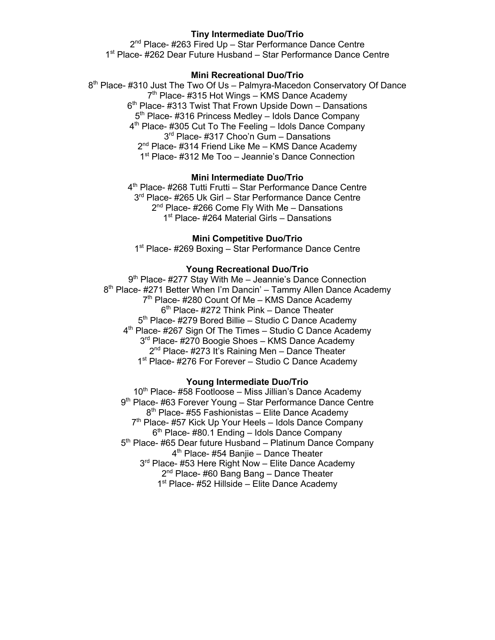## **Tiny Intermediate Duo/Trio**

2<sup>nd</sup> Place- #263 Fired Up - Star Performance Dance Centre 1<sup>st</sup> Place- #262 Dear Future Husband – Star Performance Dance Centre

## **Mini Recreational Duo/Trio**

8th Place- #310 Just The Two Of Us – Palmyra-Macedon Conservatory Of Dance 7<sup>th</sup> Place- #315 Hot Wings – KMS Dance Academy 6<sup>th</sup> Place- #313 Twist That Frown Upside Down – Dansations 5<sup>th</sup> Place- #316 Princess Medley – Idols Dance Company  $4<sup>th</sup>$  Place- #305 Cut To The Feeling – Idols Dance Company 3<sup>rd</sup> Place- #317 Choo'n Gum – Dansations 2<sup>nd</sup> Place- #314 Friend Like Me – KMS Dance Academy 1<sup>st</sup> Place- #312 Me Too – Jeannie's Dance Connection

### **Mini Intermediate Duo/Trio**

4<sup>th</sup> Place- #268 Tutti Frutti – Star Performance Dance Centre 3<sup>rd</sup> Place- #265 Uk Girl – Star Performance Dance Centre  $2<sup>nd</sup>$  Place- #266 Come Fly With Me – Dansations 1<sup>st</sup> Place- #264 Material Girls – Dansations

### **Mini Competitive Duo/Trio**

1<sup>st</sup> Place- #269 Boxing – Star Performance Dance Centre

### **Young Recreational Duo/Trio**

9<sup>th</sup> Place- #277 Stay With Me - Jeannie's Dance Connection 8<sup>th</sup> Place- #271 Better When I'm Dancin' – Tammy Allen Dance Academy  $7<sup>th</sup>$  Place- #280 Count Of Me – KMS Dance Academy  $6<sup>th</sup>$  Place- #272 Think Pink – Dance Theater 5<sup>th</sup> Place- #279 Bored Billie – Studio C Dance Academy 4<sup>th</sup> Place- #267 Sign Of The Times - Studio C Dance Academy 3<sup>rd</sup> Place- #270 Boogie Shoes – KMS Dance Academy 2<sup>nd</sup> Place- #273 It's Raining Men - Dance Theater 1<sup>st</sup> Place- #276 For Forever – Studio C Dance Academy

### **Young Intermediate Duo/Trio**

 $10<sup>th</sup>$  Place- #58 Footloose – Miss Jillian's Dance Academy 9<sup>th</sup> Place- #63 Forever Young – Star Performance Dance Centre  $8<sup>th</sup>$  Place- #55 Fashionistas – Elite Dance Academy 7<sup>th</sup> Place- #57 Kick Up Your Heels – Idols Dance Company  $6<sup>th</sup>$  Place- #80.1 Ending – Idols Dance Company 5<sup>th</sup> Place- #65 Dear future Husband – Platinum Dance Company  $4<sup>th</sup>$  Place- #54 Banjie – Dance Theater 3<sup>rd</sup> Place- #53 Here Right Now – Elite Dance Academy 2<sup>nd</sup> Place- #60 Bang Bang – Dance Theater 1<sup>st</sup> Place- #52 Hillside – Elite Dance Academy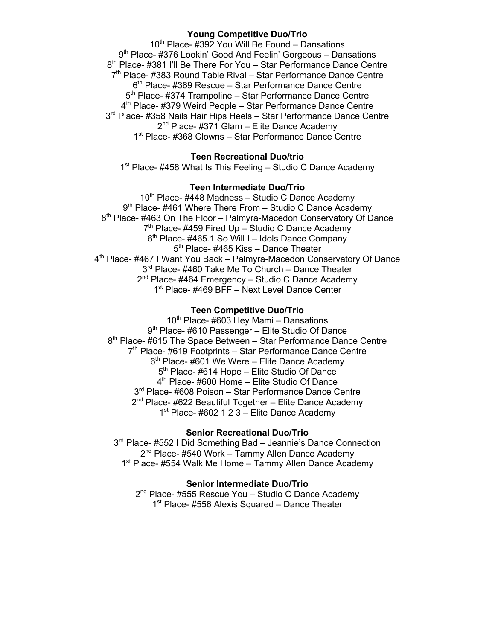## **Young Competitive Duo/Trio**

 $10^{th}$  Place- #392 You Will Be Found – Dansations 9<sup>th</sup> Place- #376 Lookin' Good And Feelin' Gorgeous - Dansations 8<sup>th</sup> Place- #381 I'll Be There For You – Star Performance Dance Centre 7<sup>th</sup> Place- #383 Round Table Rival – Star Performance Dance Centre 6<sup>th</sup> Place- #369 Rescue – Star Performance Dance Centre 5<sup>th</sup> Place- #374 Trampoline – Star Performance Dance Centre 4<sup>th</sup> Place- #379 Weird People – Star Performance Dance Centre 3<sup>rd</sup> Place- #358 Nails Hair Hips Heels - Star Performance Dance Centre 2<sup>nd</sup> Place- #371 Glam – Elite Dance Academy 1st Place- #368 Clowns – Star Performance Dance Centre

## **Teen Recreational Duo/trio**

 $1<sup>st</sup>$  Place- #458 What Is This Feeling – Studio C Dance Academy

#### **Teen Intermediate Duo/Trio**

 $10<sup>th</sup>$  Place- #448 Madness – Studio C Dance Academy  $9<sup>th</sup>$  Place- #461 Where There From – Studio C Dance Academy 8<sup>th</sup> Place- #463 On The Floor – Palmyra-Macedon Conservatory Of Dance  $7<sup>th</sup>$  Place- #459 Fired Up – Studio C Dance Academy  $6<sup>th</sup>$  Place- #465.1 So Will I – Idols Dance Company 5<sup>th</sup> Place- #465 Kiss – Dance Theater 4<sup>th</sup> Place- #467 I Want You Back – Palmyra-Macedon Conservatory Of Dance 3<sup>rd</sup> Place- #460 Take Me To Church – Dance Theater  $2^{nd}$  Place- #464 Emergency – Studio C Dance Academy 1<sup>st</sup> Place- #469 BFF – Next Level Dance Center

### **Teen Competitive Duo/Trio**

 $10^{th}$  Place- #603 Hey Mami – Dansations 9<sup>th</sup> Place- #610 Passenger – Elite Studio Of Dance 8<sup>th</sup> Place- #615 The Space Between – Star Performance Dance Centre 7<sup>th</sup> Place- #619 Footprints – Star Performance Dance Centre  $6<sup>th</sup>$  Place- #601 We Were – Elite Dance Academy 5<sup>th</sup> Place- #614 Hope – Elite Studio Of Dance 4<sup>th</sup> Place- #600 Home – Elite Studio Of Dance 3<sup>rd</sup> Place- #608 Poison – Star Performance Dance Centre  $2^{nd}$  Place- #622 Beautiful Together – Elite Dance Academy  $1<sup>st</sup>$  Place- #602 1 2 3 – Elite Dance Academy

### **Senior Recreational Duo/Trio**

 $3<sup>rd</sup>$  Place- #552 I Did Something Bad – Jeannie's Dance Connection  $2^{nd}$  Place- #540 Work – Tammy Allen Dance Academy 1<sup>st</sup> Place- #554 Walk Me Home – Tammy Allen Dance Academy

#### **Senior Intermediate Duo/Trio**

2<sup>nd</sup> Place- #555 Rescue You - Studio C Dance Academy 1<sup>st</sup> Place- #556 Alexis Squared – Dance Theater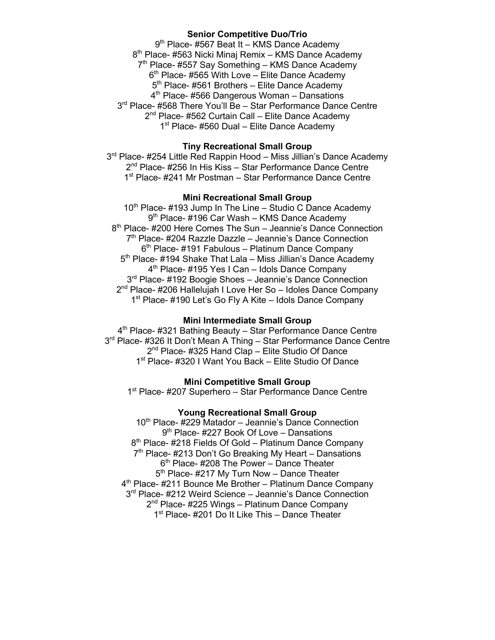## **Senior Competitive Duo/Trio**

9<sup>th</sup> Place- #567 Beat It – KMS Dance Academy 8<sup>th</sup> Place- #563 Nicki Minaj Remix – KMS Dance Academy  $7<sup>th</sup>$  Place- #557 Say Something – KMS Dance Academy  $6<sup>th</sup>$  Place- #565 With Love – Elite Dance Academy 5<sup>th</sup> Place- #561 Brothers – Elite Dance Academy 4<sup>th</sup> Place- #566 Dangerous Woman – Dansations 3<sup>rd</sup> Place- #568 There You'll Be - Star Performance Dance Centre 2<sup>nd</sup> Place- #562 Curtain Call – Elite Dance Academy 1<sup>st</sup> Place- #560 Dual – Elite Dance Academy

## **Tiny Recreational Small Group**

3<sup>rd</sup> Place- #254 Little Red Rappin Hood – Miss Jillian's Dance Academy 2<sup>nd</sup> Place- #256 In His Kiss – Star Performance Dance Centre 1<sup>st</sup> Place- #241 Mr Postman - Star Performance Dance Centre

## **Mini Recreational Small Group**

 $10<sup>th</sup>$  Place- #193 Jump In The Line – Studio C Dance Academy 9<sup>th</sup> Place- #196 Car Wash – KMS Dance Academy 8<sup>th</sup> Place- #200 Here Comes The Sun – Jeannie's Dance Connection  $7<sup>th</sup>$  Place- #204 Razzle Dazzle – Jeannie's Dance Connection  $6<sup>th</sup>$  Place- #191 Fabulous – Platinum Dance Company 5<sup>th</sup> Place- #194 Shake That Lala – Miss Jillian's Dance Academy 4<sup>th</sup> Place- #195 Yes I Can – Idols Dance Company 3<sup>rd</sup> Place- #192 Boogie Shoes - Jeannie's Dance Connection 2<sup>nd</sup> Place- #206 Hallelujah I Love Her So - Idoles Dance Company 1<sup>st</sup> Place- #190 Let's Go Fly A Kite – Idols Dance Company

### **Mini Intermediate Small Group**

4<sup>th</sup> Place- #321 Bathing Beauty - Star Performance Dance Centre 3<sup>rd</sup> Place- #326 It Don't Mean A Thing - Star Performance Dance Centre 2<sup>nd</sup> Place- #325 Hand Clap – Elite Studio Of Dance 1<sup>st</sup> Place- #320 I Want You Back – Elite Studio Of Dance

## **Mini Competitive Small Group**

1<sup>st</sup> Place- #207 Superhero – Star Performance Dance Centre

## **Young Recreational Small Group**

10<sup>th</sup> Place- #229 Matador – Jeannie's Dance Connection 9<sup>th</sup> Place- #227 Book Of Love – Dansations 8<sup>th</sup> Place- #218 Fields Of Gold – Platinum Dance Company  $7<sup>th</sup>$  Place- #213 Don't Go Breaking My Heart – Dansations  $6<sup>th</sup>$  Place- #208 The Power – Dance Theater  $5<sup>th</sup>$  Place- #217 My Turn Now – Dance Theater 4th Place- #211 Bounce Me Brother – Platinum Dance Company 3<sup>rd</sup> Place- #212 Weird Science – Jeannie's Dance Connection 2<sup>nd</sup> Place- #225 Wings – Platinum Dance Company 1<sup>st</sup> Place- #201 Do It Like This – Dance Theater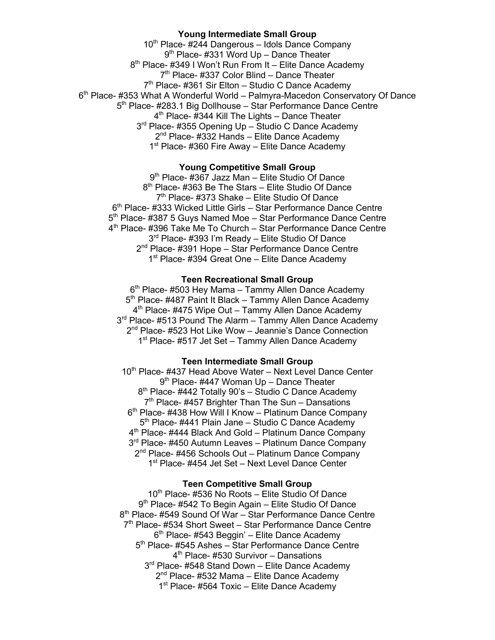## **Young Intermediate Small Group**

 $10^{th}$  Place- #244 Dangerous – Idols Dance Company 9<sup>th</sup> Place- #331 Word Up – Dance Theater 8<sup>th</sup> Place- #349 I Won't Run From It – Elite Dance Academy  $7<sup>th</sup>$  Place- #337 Color Blind – Dance Theater 7<sup>th</sup> Place- #361 Sir Elton – Studio C Dance Academy 6th Place- #353 What A Wonderful World – Palmyra-Macedon Conservatory Of Dance 5<sup>th</sup> Place- #283.1 Big Dollhouse – Star Performance Dance Centre  $4<sup>th</sup>$  Place-  $\frac{1}{4}344$  Kill The Lights – Dance Theater 3<sup>rd</sup> Place- #355 Opening Up - Studio C Dance Academy  $2^{nd}$  Place- #332 Hands – Elite Dance Academy 1<sup>st</sup> Place- #360 Fire Away – Elite Dance Academy

### **Young Competitive Small Group**

9<sup>th</sup> Place- #367 Jazz Man - Elite Studio Of Dance 8<sup>th</sup> Place- #363 Be The Stars – Elite Studio Of Dance 7<sup>th</sup> Place- #373 Shake – Elite Studio Of Dance 6<sup>th</sup> Place- #333 Wicked Little Girls – Star Performance Dance Centre 5<sup>th</sup> Place- #387 5 Guys Named Moe - Star Performance Dance Centre 4<sup>th</sup> Place- #396 Take Me To Church – Star Performance Dance Centre 3<sup>rd</sup> Place- #393 I'm Ready - Elite Studio Of Dance 2<sup>nd</sup> Place- #391 Hope – Star Performance Dance Centre 1<sup>st</sup> Place- #394 Great One – Elite Dance Academy

## **Teen Recreational Small Group**

 $6<sup>th</sup>$  Place- #503 Hey Mama – Tammy Allen Dance Academy 5<sup>th</sup> Place- #487 Paint It Black – Tammy Allen Dance Academy  $4<sup>th</sup>$  Place- #475 Wipe Out – Tammy Allen Dance Academy 3<sup>rd</sup> Place- #513 Pound The Alarm - Tammy Allen Dance Academy 2<sup>nd</sup> Place- #523 Hot Like Wow – Jeannie's Dance Connection 1<sup>st</sup> Place- #517 Jet Set – Tammy Allen Dance Academy

# **Teen Intermediate Small Group**

10<sup>th</sup> Place- #437 Head Above Water – Next Level Dance Center 9<sup>th</sup> Place- #447 Woman Up - Dance Theater 8<sup>th</sup> Place- #442 Totally 90's - Studio C Dance Academy  $7<sup>th</sup>$  Place- #457 Brighter Than The Sun – Dansations 6<sup>th</sup> Place- #438 How Will I Know – Platinum Dance Company 5<sup>th</sup> Place- #441 Plain Jane – Studio C Dance Academy 4th Place- #444 Black And Gold – Platinum Dance Company 3<sup>rd</sup> Place- #450 Autumn Leaves - Platinum Dance Company 2<sup>nd</sup> Place- #456 Schools Out – Platinum Dance Company 1<sup>st</sup> Place- #454 Jet Set - Next Level Dance Center

#### **Teen Competitive Small Group**

 $10<sup>th</sup>$  Place- #536 No Roots – Elite Studio Of Dance 9<sup>th</sup> Place- #542 To Begin Again – Elite Studio Of Dance 8<sup>th</sup> Place- #549 Sound Of War – Star Performance Dance Centre 7<sup>th</sup> Place- #534 Short Sweet – Star Performance Dance Centre 6th Place- #543 Beggin' – Elite Dance Academy 5<sup>th</sup> Place- #545 Ashes – Star Performance Dance Centre 4<sup>th</sup> Place- #530 Survivor – Dansations 3<sup>rd</sup> Place- #548 Stand Down - Elite Dance Academy 2<sup>nd</sup> Place- #532 Mama - Elite Dance Academy 1<sup>st</sup> Place- #564 Toxic – Elite Dance Academy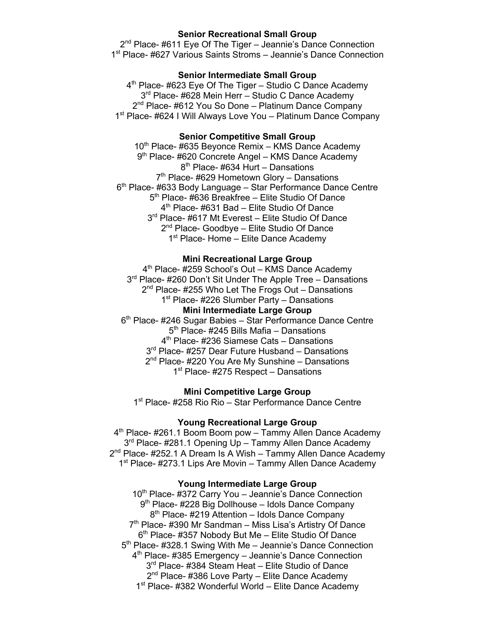### **Senior Recreational Small Group**

 $2<sup>nd</sup>$  Place- #611 Eye Of The Tiger – Jeannie's Dance Connection 1st Place- #627 Various Saints Stroms – Jeannie's Dance Connection

## **Senior Intermediate Small Group**

 $4<sup>th</sup>$  Place- #623 Eye Of The Tiger – Studio C Dance Academy 3<sup>rd</sup> Place- #628 Mein Herr – Studio C Dance Academy 2<sup>nd</sup> Place- #612 You So Done – Platinum Dance Company 1<sup>st</sup> Place- #624 I Will Always Love You - Platinum Dance Company

### **Senior Competitive Small Group**

 $10<sup>th</sup>$  Place- #635 Beyonce Remix – KMS Dance Academy 9<sup>th</sup> Place- #620 Concrete Angel – KMS Dance Academy  $8<sup>th</sup>$  Place- #634 Hurt – Dansations  $7<sup>th</sup>$  Place- #629 Hometown Glory – Dansations  $6<sup>th</sup>$  Place- #633 Body Language – Star Performance Dance Centre 5<sup>th</sup> Place- #636 Breakfree – Elite Studio Of Dance 4<sup>th</sup> Place- #631 Bad – Elite Studio Of Dance 3rd Place- #617 Mt Everest - Elite Studio Of Dance 2<sup>nd</sup> Place- Goodbye – Elite Studio Of Dance  $1<sup>st</sup>$  Place- Home – Elite Dance Academy

## **Mini Recreational Large Group**

4<sup>th</sup> Place- #259 School's Out – KMS Dance Academy 3<sup>rd</sup> Place- #260 Don't Sit Under The Apple Tree – Dansations 2<sup>nd</sup> Place- #255 Who Let The Frogs Out – Dansations 1<sup>st</sup> Place- #226 Slumber Party – Dansations **Mini Intermediate Large Group** 6<sup>th</sup> Place- #246 Sugar Babies – Star Performance Dance Centre  $5<sup>th</sup>$  Place- #245 Bills Mafia – Dansations 4th Place- #236 Siamese Cats – Dansations 3<sup>rd</sup> Place- #257 Dear Future Husband - Dansations  $2<sup>nd</sup>$  Place- #220 You Are My Sunshine – Dansations

 $1<sup>st</sup>$  Place- #275 Respect – Dansations

**Mini Competitive Large Group**

1<sup>st</sup> Place- #258 Rio Rio – Star Performance Dance Centre

## **Young Recreational Large Group**

4th Place- #261.1 Boom Boom pow – Tammy Allen Dance Academy 3<sup>rd</sup> Place- #281.1 Opening Up – Tammy Allen Dance Academy  $2^{nd}$  Place- #252.1 A Dream Is A Wish – Tammy Allen Dance Academy 1<sup>st</sup> Place- #273.1 Lips Are Movin – Tammy Allen Dance Academy

#### **Young Intermediate Large Group**

10<sup>th</sup> Place- #372 Carry You – Jeannie's Dance Connection 9<sup>th</sup> Place- #228 Big Dollhouse – Idols Dance Company 8<sup>th</sup> Place- #219 Attention – Idols Dance Company  $7<sup>th</sup>$  Place- #390 Mr Sandman – Miss Lisa's Artistry Of Dance 6<sup>th</sup> Place- #357 Nobody But Me – Elite Studio Of Dance 5<sup>th</sup> Place- #328.1 Swing With Me – Jeannie's Dance Connection 4<sup>th</sup> Place- #385 Emergency - Jeannie's Dance Connection 3<sup>rd</sup> Place- #384 Steam Heat – Elite Studio of Dance 2<sup>nd</sup> Place- #386 Love Party - Elite Dance Academy 1<sup>st</sup> Place- #382 Wonderful World – Elite Dance Academy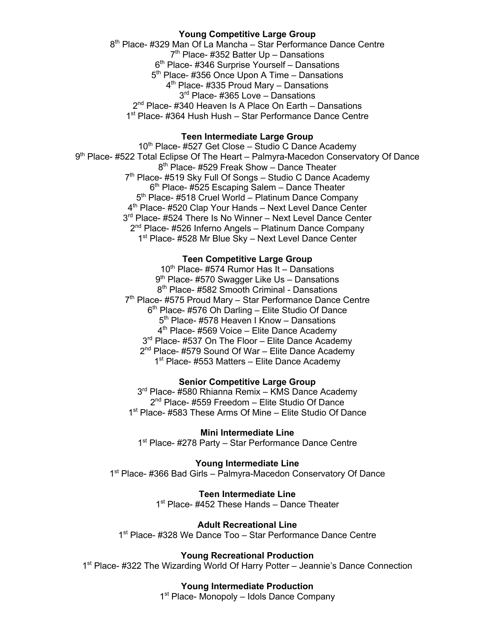## **Young Competitive Large Group**

8<sup>th</sup> Place- #329 Man Of La Mancha – Star Performance Dance Centre 7th Place- #352 Batter Up – Dansations  $6<sup>th</sup>$  Place- #346 Surprise Yourself – Dansations  $5<sup>th</sup>$  Place- #356 Once Upon A Time – Dansations 4th Place- #335 Proud Mary – Dansations 3<sup>rd</sup> Place- #365 Love – Dansations 2<sup>nd</sup> Place- #340 Heaven Is A Place On Earth – Dansations 1<sup>st</sup> Place- #364 Hush Hush – Star Performance Dance Centre

## **Teen Intermediate Large Group**

10<sup>th</sup> Place- #527 Get Close – Studio C Dance Academy 9<sup>th</sup> Place- #522 Total Eclipse Of The Heart – Palmyra-Macedon Conservatory Of Dance 8<sup>th</sup> Place- #529 Freak Show – Dance Theater 7<sup>th</sup> Place- #519 Sky Full Of Songs - Studio C Dance Academy  $6<sup>th</sup>$  Place- #525 Escaping Salem – Dance Theater 5<sup>th</sup> Place- #518 Cruel World – Platinum Dance Company 4<sup>th</sup> Place- #520 Clap Your Hands – Next Level Dance Center 3rd Place- #524 There Is No Winner - Next Level Dance Center 2<sup>nd</sup> Place- #526 Inferno Angels – Platinum Dance Company 1<sup>st</sup> Place- #528 Mr Blue Sky – Next Level Dance Center

## **Teen Competitive Large Group**

10<sup>th</sup> Place- #574 Rumor Has It – Dansations 9<sup>th</sup> Place- #570 Swagger Like Us - Dansations 8<sup>th</sup> Place- #582 Smooth Criminal - Dansations 7<sup>th</sup> Place- #575 Proud Mary - Star Performance Dance Centre  $6<sup>th</sup>$  Place- #576 Oh Darling – Elite Studio Of Dance 5<sup>th</sup> Place- #578 Heaven I Know - Dansations  $4<sup>th</sup>$  Place- #569 Voice – Elite Dance Academy 3<sup>rd</sup> Place- #537 On The Floor – Elite Dance Academy 2<sup>nd</sup> Place- #579 Sound Of War – Elite Dance Academy 1<sup>st</sup> Place- #553 Matters – Elite Dance Academy

## **Senior Competitive Large Group**

3<sup>rd</sup> Place- #580 Rhianna Remix – KMS Dance Academy 2<sup>nd</sup> Place- #559 Freedom - Elite Studio Of Dance 1<sup>st</sup> Place- #583 These Arms Of Mine – Elite Studio Of Dance

## **Mini Intermediate Line**

1<sup>st</sup> Place- #278 Party – Star Performance Dance Centre

**Young Intermediate Line** 1<sup>st</sup> Place- #366 Bad Girls – Palmyra-Macedon Conservatory Of Dance

## **Teen Intermediate Line**

1<sup>st</sup> Place- #452 These Hands – Dance Theater

## **Adult Recreational Line**

1<sup>st</sup> Place- #328 We Dance Too - Star Performance Dance Centre

# **Young Recreational Production**

1<sup>st</sup> Place- #322 The Wizarding World Of Harry Potter – Jeannie's Dance Connection

## **Young Intermediate Production**

1<sup>st</sup> Place- Monopoly – Idols Dance Company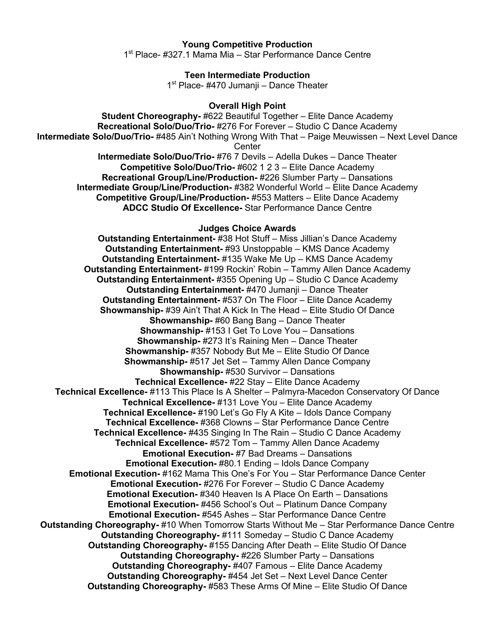## **Young Competitive Production**

1st Place- #327.1 Mama Mia – Star Performance Dance Centre

#### **Teen Intermediate Production**

1<sup>st</sup> Place- #470 Jumanji – Dance Theater

### **Overall High Point**

**Student Choreography-** #622 Beautiful Together – Elite Dance Academy **Recreational Solo/Duo/Trio-** #276 For Forever – Studio C Dance Academy **Intermediate Solo/Duo/Trio-** #485 Ain't Nothing Wrong With That – Paige Meuwissen – Next Level Dance **Center** 

**Intermediate Solo/Duo/Trio-** #76 7 Devils – Adella Dukes – Dance Theater **Competitive Solo/Duo/Trio-** #602 1 2 3 – Elite Dance Academy **Recreational Group/Line/Production-** #226 Slumber Party – Dansations **Intermediate Group/Line/Production-** #382 Wonderful World – Elite Dance Academy **Competitive Group/Line/Production-** #553 Matters – Elite Dance Academy **ADCC Studio Of Excellence-** Star Performance Dance Centre

## **Judges Choice Awards**

**Outstanding Entertainment-** #38 Hot Stuff – Miss Jillian's Dance Academy **Outstanding Entertainment-** #93 Unstoppable – KMS Dance Academy **Outstanding Entertainment-** #135 Wake Me Up – KMS Dance Academy **Outstanding Entertainment-** #199 Rockin' Robin – Tammy Allen Dance Academy **Outstanding Entertainment-** #355 Opening Up – Studio C Dance Academy **Outstanding Entertainment-** #470 Jumanji – Dance Theater **Outstanding Entertainment-** #537 On The Floor – Elite Dance Academy **Showmanship-** #39 Ain't That A Kick In The Head – Elite Studio Of Dance **Showmanship-** #60 Bang Bang – Dance Theater **Showmanship-** #153 I Get To Love You – Dansations **Showmanship-** #273 It's Raining Men – Dance Theater **Showmanship-** #357 Nobody But Me – Elite Studio Of Dance **Showmanship-** #517 Jet Set – Tammy Allen Dance Company **Showmanship-** #530 Survivor – Dansations **Technical Excellence-** #22 Stay – Elite Dance Academy **Technical Excellence-** #113 This Place Is A Shelter – Palmyra-Macedon Conservatory Of Dance **Technical Excellence-** #131 Love You – Elite Dance Academy **Technical Excellence-** #190 Let's Go Fly A Kite – Idols Dance Company **Technical Excellence-** #368 Clowns – Star Performance Dance Centre **Technical Excellence-** #435 Singing In The Rain – Studio C Dance Academy **Technical Excellence-** #572 Tom – Tammy Allen Dance Academy **Emotional Execution-** #7 Bad Dreams – Dansations **Emotional Execution-** #80.1 Ending – Idols Dance Company **Emotional Execution-** #162 Mama This One's For You – Star Performance Dance Center **Emotional Execution-** #276 For Forever – Studio C Dance Academy **Emotional Execution-** #340 Heaven Is A Place On Earth – Dansations **Emotional Execution-** #456 School's Out – Platinum Dance Company **Emotional Execution-** #545 Ashes – Star Performance Dance Centre **Outstanding Choreography-** #10 When Tomorrow Starts Without Me – Star Performance Dance Centre **Outstanding Choreography-** #111 Someday – Studio C Dance Academy **Outstanding Choreography-** #155 Dancing After Death – Elite Studio Of Dance **Outstanding Choreography-** #226 Slumber Party – Dansations **Outstanding Choreography-** #407 Famous – Elite Dance Academy **Outstanding Choreography-** #454 Jet Set – Next Level Dance Center **Outstanding Choreography-** #583 These Arms Of Mine – Elite Studio Of Dance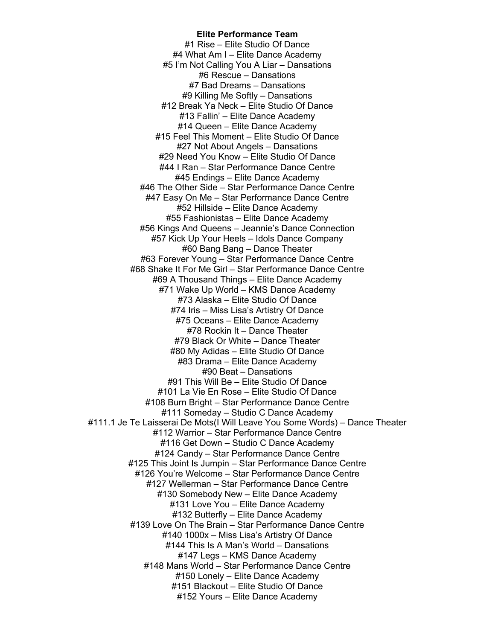**Elite Performance Team** #1 Rise – Elite Studio Of Dance #4 What Am I – Elite Dance Academy #5 I'm Not Calling You A Liar – Dansations #6 Rescue – Dansations #7 Bad Dreams – Dansations #9 Killing Me Softly – Dansations #12 Break Ya Neck – Elite Studio Of Dance #13 Fallin' – Elite Dance Academy #14 Queen – Elite Dance Academy #15 Feel This Moment – Elite Studio Of Dance #27 Not About Angels – Dansations #29 Need You Know – Elite Studio Of Dance #44 I Ran – Star Performance Dance Centre #45 Endings – Elite Dance Academy #46 The Other Side – Star Performance Dance Centre #47 Easy On Me – Star Performance Dance Centre #52 Hillside – Elite Dance Academy #55 Fashionistas – Elite Dance Academy #56 Kings And Queens – Jeannie's Dance Connection #57 Kick Up Your Heels – Idols Dance Company #60 Bang Bang – Dance Theater #63 Forever Young – Star Performance Dance Centre #68 Shake It For Me Girl – Star Performance Dance Centre #69 A Thousand Things – Elite Dance Academy #71 Wake Up World – KMS Dance Academy #73 Alaska – Elite Studio Of Dance #74 Iris – Miss Lisa's Artistry Of Dance #75 Oceans – Elite Dance Academy #78 Rockin It – Dance Theater #79 Black Or White – Dance Theater #80 My Adidas – Elite Studio Of Dance #83 Drama – Elite Dance Academy #90 Beat – Dansations #91 This Will Be – Elite Studio Of Dance #101 La Vie En Rose – Elite Studio Of Dance #108 Burn Bright – Star Performance Dance Centre #111 Someday – Studio C Dance Academy #111.1 Je Te Laisserai De Mots(I Will Leave You Some Words) – Dance Theater #112 Warrior – Star Performance Dance Centre #116 Get Down – Studio C Dance Academy #124 Candy – Star Performance Dance Centre #125 This Joint Is Jumpin – Star Performance Dance Centre #126 You're Welcome – Star Performance Dance Centre #127 Wellerman – Star Performance Dance Centre #130 Somebody New – Elite Dance Academy #131 Love You – Elite Dance Academy #132 Butterfly – Elite Dance Academy #139 Love On The Brain – Star Performance Dance Centre #140 1000x – Miss Lisa's Artistry Of Dance #144 This Is A Man's World – Dansations #147 Legs – KMS Dance Academy #148 Mans World – Star Performance Dance Centre #150 Lonely – Elite Dance Academy #151 Blackout – Elite Studio Of Dance #152 Yours – Elite Dance Academy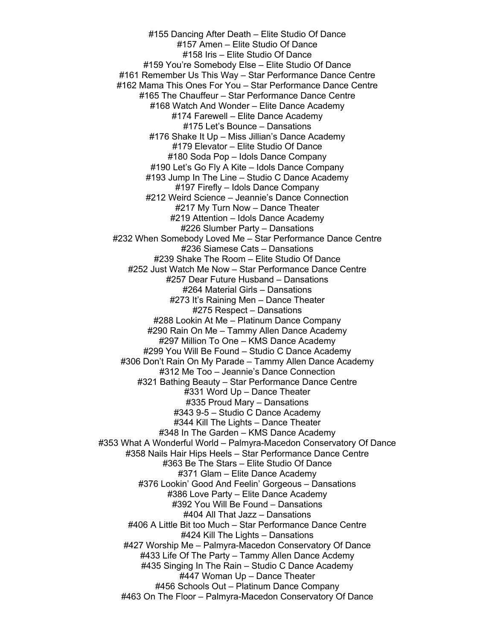#155 Dancing After Death – Elite Studio Of Dance #157 Amen – Elite Studio Of Dance #158 Iris – Elite Studio Of Dance #159 You're Somebody Else – Elite Studio Of Dance #161 Remember Us This Way – Star Performance Dance Centre #162 Mama This Ones For You – Star Performance Dance Centre #165 The Chauffeur – Star Performance Dance Centre #168 Watch And Wonder – Elite Dance Academy #174 Farewell – Elite Dance Academy #175 Let's Bounce – Dansations #176 Shake It Up – Miss Jillian's Dance Academy #179 Elevator – Elite Studio Of Dance #180 Soda Pop – Idols Dance Company #190 Let's Go Fly A Kite – Idols Dance Company #193 Jump In The Line – Studio C Dance Academy #197 Firefly – Idols Dance Company #212 Weird Science – Jeannie's Dance Connection #217 My Turn Now – Dance Theater #219 Attention – Idols Dance Academy #226 Slumber Party – Dansations #232 When Somebody Loved Me – Star Performance Dance Centre #236 Siamese Cats – Dansations #239 Shake The Room – Elite Studio Of Dance #252 Just Watch Me Now – Star Performance Dance Centre #257 Dear Future Husband – Dansations #264 Material Girls – Dansations #273 It's Raining Men – Dance Theater #275 Respect – Dansations #288 Lookin At Me – Platinum Dance Company #290 Rain On Me – Tammy Allen Dance Academy #297 Million To One – KMS Dance Academy #299 You Will Be Found – Studio C Dance Academy #306 Don't Rain On My Parade – Tammy Allen Dance Academy #312 Me Too – Jeannie's Dance Connection #321 Bathing Beauty – Star Performance Dance Centre #331 Word Up – Dance Theater #335 Proud Mary – Dansations #343 9-5 – Studio C Dance Academy #344 Kill The Lights – Dance Theater #348 In The Garden – KMS Dance Academy #353 What A Wonderful World – Palmyra-Macedon Conservatory Of Dance #358 Nails Hair Hips Heels – Star Performance Dance Centre #363 Be The Stars – Elite Studio Of Dance #371 Glam – Elite Dance Academy #376 Lookin' Good And Feelin' Gorgeous – Dansations #386 Love Party – Elite Dance Academy #392 You Will Be Found – Dansations #404 All That Jazz – Dansations #406 A Little Bit too Much – Star Performance Dance Centre #424 Kill The Lights – Dansations #427 Worship Me – Palmyra-Macedon Conservatory Of Dance #433 Life Of The Party – Tammy Allen Dance Acdemy #435 Singing In The Rain – Studio C Dance Academy #447 Woman Up – Dance Theater #456 Schools Out – Platinum Dance Company #463 On The Floor – Palmyra-Macedon Conservatory Of Dance